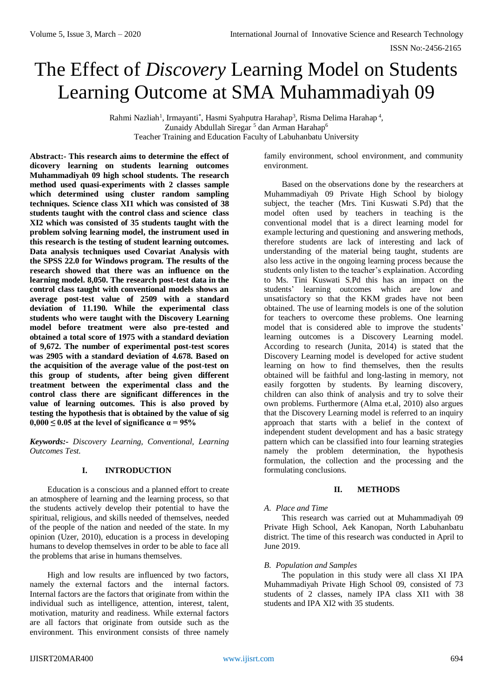# The Effect of *Discovery* Learning Model on Students Learning Outcome at SMA Muhammadiyah 09

Rahmi Nazliah<sup>1</sup>, Irmayanti<sup>\*</sup>, Hasmi Syahputra Harahap<sup>3</sup>, Risma Delima Harahap<sup>4</sup>, Zunaidy Abdullah Siregar<sup>5</sup> dan Arman Harahap<sup>6</sup> Teacher Training and Education Faculty of Labuhanbatu University

**Abstract:- This research aims to determine the effect of dicovery learning on students learning outcomes Muhammadiyah 09 high school students. The research method used quasi-experiments with 2 classes sample which determined using cluster random sampling techniques. Science class XI1 which was consisted of 38 students taught with the control class and science class XI2 which was consisted of 35 students taught with the problem solving learning model, the instrument used in this research is the testing of student learning outcomes. Data analysis techniques used Covariat Analysis with the SPSS 22.0 for Windows program. The results of the research showed that there was an influence on the learning model. 8,050. The research post-test data in the control class taught with conventional models shows an average post-test value of 2509 with a standard deviation of 11.190. While the experimental class students who were taught with the Discovery Learning model before treatment were also pre-tested and obtained a total score of 1975 with a standard deviation of 9,672. The number of experimental post-test scores was 2905 with a standard deviation of 4.678. Based on the acquisition of the average value of the post-test on this group of students, after being given different treatment between the experimental class and the control class there are significant differences in the value of learning outcomes. This is also proved by testing the hypothesis that is obtained by the value of sig**   $0,000 \leq 0.05$  at the level of significance  $\alpha = 95\%$ 

*Keywords:- Discovery Learning, Conventional, Learning Outcomes Test.*

#### **I. INTRODUCTION**

Education is a conscious and a planned effort to create an atmosphere of learning and the learning process, so that the students actively develop their potential to have the spiritual, religious, and skills needed of themselves, needed of the people of the nation and needed of the state. In my opinion (Uzer, 2010), education is a process in developing humans to develop themselves in order to be able to face all the problems that arise in humans themselves.

High and low results are influenced by two factors, namely the external factors and the internal factors. Internal factors are the factors that originate from within the individual such as intelligence, attention, interest, talent, motivation, maturity and readiness. While external factors are all factors that originate from outside such as the environment. This environment consists of three namely

family environment, school environment, and community environment.

Based on the observations done by the researchers at Muhammadiyah 09 Private High School by biology subject, the teacher (Mrs. Tini Kuswati S.Pd) that the model often used by teachers in teaching is the conventional model that is a direct learning model for example lecturing and questioning and answering methods, therefore students are lack of interesting and lack of understanding of the material being taught, students are also less active in the ongoing learning process because the students only listen to the teacher's explaination. According to Ms. Tini Kuswati S.Pd this has an impact on the students' learning outcomes which are low and unsatisfactory so that the KKM grades have not been obtained. The use of learning models is one of the solution for teachers to overcome these problems. One learning model that is considered able to improve the students' learning outcomes is a Discovery Learning model. According to research (Junita, 2014) is stated that the Discovery Learning model is developed for active student learning on how to find themselves, then the results obtained will be faithful and long-lasting in memory, not easily forgotten by students. By learning discovery, children can also think of analysis and try to solve their own problems. Furthermore (Alma et.al, 2010) also argues that the Discovery Learning model is referred to an inquiry approach that starts with a belief in the context of independent student development and has a basic strategy pattern which can be classified into four learning strategies namely the problem determination, the hypothesis formulation, the collection and the processing and the formulating conclusions.

#### **II. METHODS**

## *A. Place and Time*

This research was carried out at Muhammadiyah 09 Private High School, Aek Kanopan, North Labuhanbatu district. The time of this research was conducted in April to June 2019.

## *B. Population and Samples*

The population in this study were all class XI IPA Muhammadiyah Private High School 09, consisted of 73 students of 2 classes, namely IPA class XI1 with 38 students and IPA XI2 with 35 students.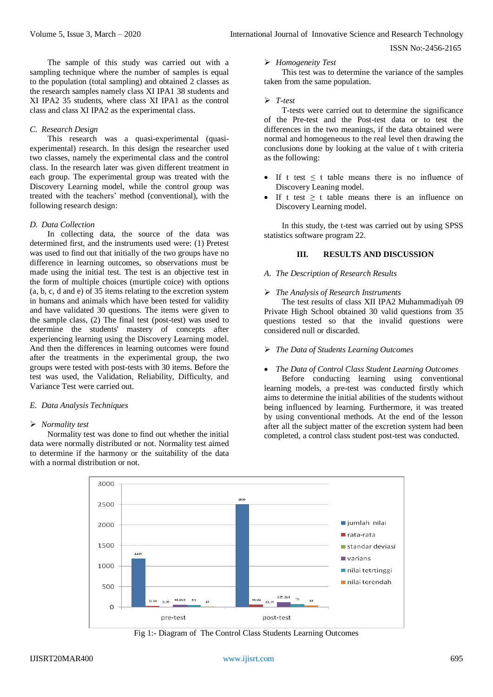The sample of this study was carried out with a sampling technique where the number of samples is equal to the population (total sampling) and obtained 2 classes as the research samples namely class XI IPA1 38 students and XI IPA2 35 students, where class XI IPA1 as the control class and class XI IPA2 as the experimental class.

## *C. Research Design*

This research was a quasi-experimental (quasiexperimental) research. In this design the researcher used two classes, namely the experimental class and the control class. In the research later was given different treatment in each group. The experimental group was treated with the Discovery Learning model, while the control group was treated with the teachers' method (conventional), with the following research design:

#### *D. Data Collection*

In collecting data, the source of the data was determined first, and the instruments used were: (1) Pretest was used to find out that initially of the two groups have no difference in learning outcomes, so observations must be made using the initial test. The test is an objective test in the form of multiple choices (murtiple coice) with options (a, b, c, d and e) of 35 items relating to the excretion system in humans and animals which have been tested for validity and have validated 30 questions. The items were given to the sample class, (2) The final test (post-test) was used to determine the students' mastery of concepts after experiencing learning using the Discovery Learning model. And then the differences in learning outcomes were found after the treatments in the experimental group, the two groups were tested with post-tests with 30 items. Before the test was used, the Validation, Reliability, Difficulty, and Variance Test were carried out.

#### *E. Data Analysis Techniques*

#### *Normality test*

Normality test was done to find out whether the initial data were normally distributed or not. Normality test aimed to determine if the harmony or the suitability of the data with a normal distribution or not.

## *Homogeneity Test*

This test was to determine the variance of the samples taken from the same population.

#### *T-test*

T-tests were carried out to determine the significance of the Pre-test and the Post-test data or to test the differences in the two meanings, if the data obtained were normal and homogeneous to the real level then drawing the conclusions done by looking at the value of t with criteria as the following:

- If t test  $\leq t$  table means there is no influence of Discovery Leaning model.
- If t test  $\geq$  t table means there is an influence on Discovery Learning model.

In this study, the t-test was carried out by using SPSS statistics software program 22.

## **III. RESULTS AND DISCUSSION**

#### *A. The Description of Research Results*

#### *The Analysis of Research Instruments*

The test results of class XII IPA2 Muhammadiyah 09 Private High School obtained 30 valid questions from 35 questions tested so that the invalid questions were considered null or discarded.

## *The Data of Students Learning Outcomes*

#### *The Data of Control Class Student Learning Outcomes*

Before conducting learning using conventional learning models, a pre-test was conducted firstly which aims to determine the initial abilities of the students without being influenced by learning. Furthermore, it was treated by using conventional methods. At the end of the lesson after all the subject matter of the excretion system had been completed, a control class student post-test was conducted.



Fig 1:- Diagram of The Control Class Students Learning Outcomes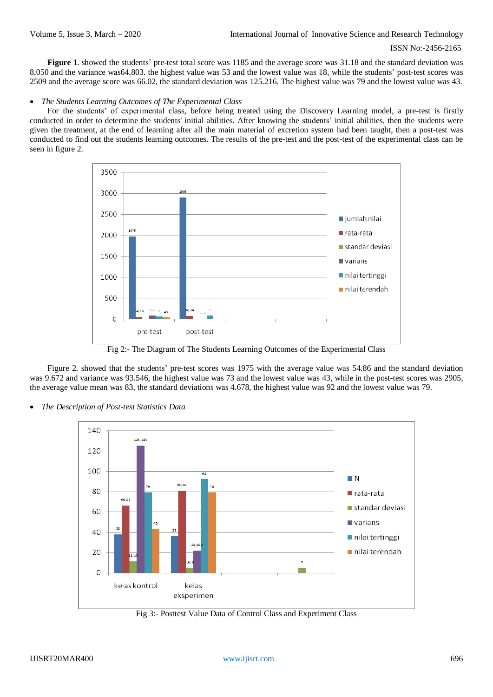**Figure 1**. showed the students' pre-test total score was 1185 and the average score was 31.18 and the standard deviation was 8,050 and the variance was64,803. the highest value was 53 and the lowest value was 18, while the students' post-test scores was 2509 and the average score was 66.02, the standard deviation was 125.216. The highest value was 79 and the lowest value was 43.

#### *The Students Learning Outcomes of The Experimental Class*

For the students' of experimental class, before being treated using the Discovery Learning model, a pre-test is firstly conducted in order to determine the students' initial abilities. After knowing the students' initial abilities, then the students were given the treatment, at the end of learning after all the main material of excretion system had been taught, then a post-test was conducted to find out the students learning outcomes. The results of the pre-test and the post-test of the experimental class can be seen in figure 2.



Fig 2:- The Diagram of The Students Learning Outcomes of the Experimental Class

Figure 2. showed that the students' pre-test scores was 1975 with the average value was 54.86 and the standard deviation was 9.672 and variance was 93.546, the highest value was 73 and the lowest value was 43, while in the post-test scores was 2905, the average value mean was 83, the standard deviations was 4.678, the highest value was 92 and the lowest value was 79.





Fig 3:- Posttest Value Data of Control Class and Experiment Class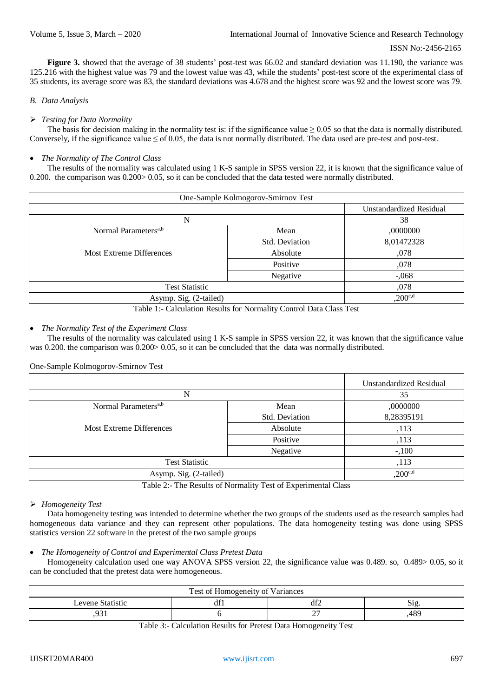**Figure 3.** showed that the average of 38 students' post-test was 66.02 and standard deviation was 11.190, the variance was 125.216 with the highest value was 79 and the lowest value was 43, while the students' post-test score of the experimental class of 35 students, its average score was 83, the standard deviations was 4.678 and the highest score was 92 and the lowest score was 79.

## *B. Data Analysis*

## *Testing for Data Normality*

The basis for decision making in the normality test is: if the significance value  $\geq 0.05$  so that the data is normally distributed. Conversely, if the significance value  $\leq$  of 0.05, the data is not normally distributed. The data used are pre-test and post-test.

## *The Normality of The Control Class*

The results of the normality was calculated using 1 K-S sample in SPSS version 22, it is known that the significance value of 0.200. the comparison was  $0.200 > 0.05$ , so it can be concluded that the data tested were normally distributed.

| One-Sample Kolmogorov-Smirnov Test |                     |                         |  |  |
|------------------------------------|---------------------|-------------------------|--|--|
|                                    |                     | Unstandardized Residual |  |  |
| N                                  | 38                  |                         |  |  |
| Normal Parameters <sup>a,b</sup>   | Mean                | ,0000000                |  |  |
|                                    | Std. Deviation      | 8,01472328              |  |  |
| <b>Most Extreme Differences</b>    | Absolute            | ,078                    |  |  |
|                                    | Positive            | ,078                    |  |  |
|                                    | Negative            | $-0.068$                |  |  |
| <b>Test Statistic</b>              | ,078                |                         |  |  |
| Asymp. Sig. (2-tailed)             | $,200^{\text{c,d}}$ |                         |  |  |

Table 1:- Calculation Results for Normality Control Data Class Test

## *The Normality Test of the Experiment Class*

The results of the normality was calculated using 1 K-S sample in SPSS version 22, it was known that the significance value was 0.200. the comparison was 0.200 > 0.05, so it can be concluded that the data was normally distributed.

One-Sample Kolmogorov-Smirnov Test

|                                                                                                               | <b>Unstandardized Residual</b> |            |  |
|---------------------------------------------------------------------------------------------------------------|--------------------------------|------------|--|
| N                                                                                                             | 35                             |            |  |
| Normal Parameters <sup>a,b</sup>                                                                              | Mean                           | ,0000000   |  |
|                                                                                                               | Std. Deviation                 | 8,28395191 |  |
| <b>Most Extreme Differences</b>                                                                               | Absolute                       | ,113       |  |
|                                                                                                               | Positive                       | ,113       |  |
|                                                                                                               | Negative                       | $-100$     |  |
| <b>Test Statistic</b>                                                                                         | ,113                           |            |  |
| Asymp. Sig. (2-tailed)                                                                                        | $,200^{c,d}$                   |            |  |
| 1. Section 2. Section 2. Section 2. Section 2. Section 2. Section 2. Section 2. Section 2. Section 2. Section |                                |            |  |

Table 2:- The Results of Normality Test of Experimental Class

## *Homogeneity Test*

Data homogeneity testing was intended to determine whether the two groups of the students used as the research samples had homogeneous data variance and they can represent other populations. The data homogeneity testing was done using SPSS statistics version 22 software in the pretest of the two sample groups

#### *The Homogeneity of Control and Experimental Class Pretest Data*

Homogeneity calculation used one way ANOVA SPSS version 22, the significance value was 0.489. so, 0.489> 0.05, so it can be concluded that the pretest data were homogeneous.

| Test of Homogeneity of Variances |     |          |                 |  |  |  |
|----------------------------------|-----|----------|-----------------|--|--|--|
| Levene Statistic                 | dt. | А£       | 151 ک           |  |  |  |
| ነ2<br><i>,,</i>                  |     | <b>1</b> | 48 <sup>c</sup> |  |  |  |

Table 3:- Calculation Results for Pretest Data Homogeneity Test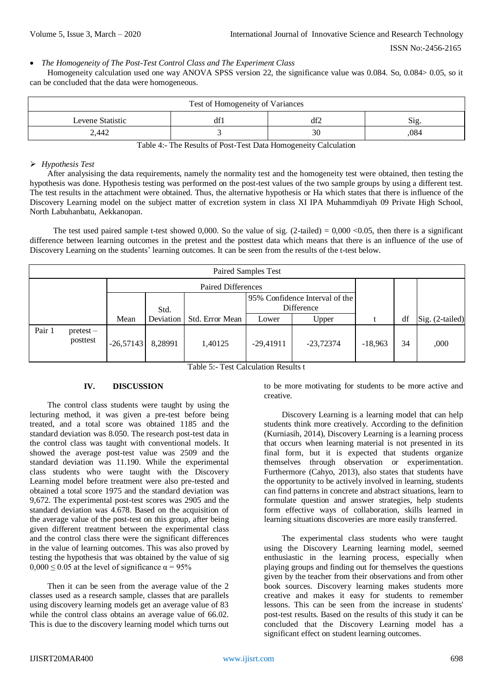ISSN No:-2456-2165

*The Homogeneity of The Post-Test Control Class and The Experiment Class* 

Homogeneity calculation used one way ANOVA SPSS version 22, the significance value was 0.084. So, 0.084> 0.05, so it can be concluded that the data were homogeneous.

| Test of Homogeneity of Variances |            |    |                |  |  |
|----------------------------------|------------|----|----------------|--|--|
| Levene Statistic                 | df1<br>df2 |    | $\mathrm{S1g}$ |  |  |
| 2.442                            |            | 30 | ,084           |  |  |

Table 4:- The Results of Post-Test Data Homogeneity Calculation

## *Hypothesis Test*

After analysising the data requirements, namely the normality test and the homogeneity test were obtained, then testing the hypothesis was done. Hypothesis testing was performed on the post-test values of the two sample groups by using a different test. The test results in the attachment were obtained. Thus, the alternative hypothesis or Ha which states that there is influence of the Discovery Learning model on the subject matter of excretion system in class XI IPA Muhammdiyah 09 Private High School, North Labuhanbatu, Aekkanopan.

The test used paired sample t-test showed 0,000. So the value of sig.  $(2$ -tailed) = 0,000 <0.05, then there is a significant difference between learning outcomes in the pretest and the posttest data which means that there is an influence of the use of Discovery Learning on the students' learning outcomes. It can be seen from the results of the t-test below.

| Paired Samples Test |                       |                           |           |                 |                                              |             |           |    |                 |
|---------------------|-----------------------|---------------------------|-----------|-----------------|----------------------------------------------|-------------|-----------|----|-----------------|
|                     |                       | <b>Paired Differences</b> |           |                 |                                              |             |           |    |                 |
|                     |                       |                           | Std.      |                 | 95% Confidence Interval of the<br>Difference |             |           |    |                 |
|                     |                       | Mean                      | Deviation | Std. Error Mean | Lower                                        | Upper       |           | df | Sig. (2-tailed) |
| Pair 1              | pretest –<br>posttest | $-26,57143$               | 8,28991   | 1,40125         | $-29,41911$                                  | $-23,72374$ | $-18,963$ | 34 | ,000            |

Table 5:- Test Calculation Results t

## **IV. DISCUSSION**

The control class students were taught by using the lecturing method, it was given a pre-test before being treated, and a total score was obtained 1185 and the standard deviation was 8.050. The research post-test data in the control class was taught with conventional models. It showed the average post-test value was 2509 and the standard deviation was 11.190. While the experimental class students who were taught with the Discovery Learning model before treatment were also pre-tested and obtained a total score 1975 and the standard deviation was 9,672. The experimental post-test scores was 2905 and the standard deviation was 4.678. Based on the acquisition of the average value of the post-test on this group, after being given different treatment between the experimental class and the control class there were the significant differences in the value of learning outcomes. This was also proved by testing the hypothesis that was obtained by the value of sig  $0.000 \le 0.05$  at the level of significance  $\alpha = 95\%$ 

Then it can be seen from the average value of the 2 classes used as a research sample, classes that are parallels using discovery learning models get an average value of 83 while the control class obtains an average value of 66.02. This is due to the discovery learning model which turns out to be more motivating for students to be more active and creative.

Discovery Learning is a learning model that can help students think more creatively. According to the definition (Kurniasih, 2014), Discovery Learning is a learning process that occurs when learning material is not presented in its final form, but it is expected that students organize themselves through observation or experimentation. Furthermore (Cahyo, 2013), also states that students have the opportunity to be actively involved in learning, students can find patterns in concrete and abstract situations, learn to formulate question and answer strategies, help students form effective ways of collaboration, skills learned in learning situations discoveries are more easily transferred.

The experimental class students who were taught using the Discovery Learning learning model, seemed enthusiastic in the learning process, especially when playing groups and finding out for themselves the questions given by the teacher from their observations and from other book sources. Discovery learning makes students more creative and makes it easy for students to remember lessons. This can be seen from the increase in students' post-test results. Based on the results of this study it can be concluded that the Discovery Learning model has a significant effect on student learning outcomes.